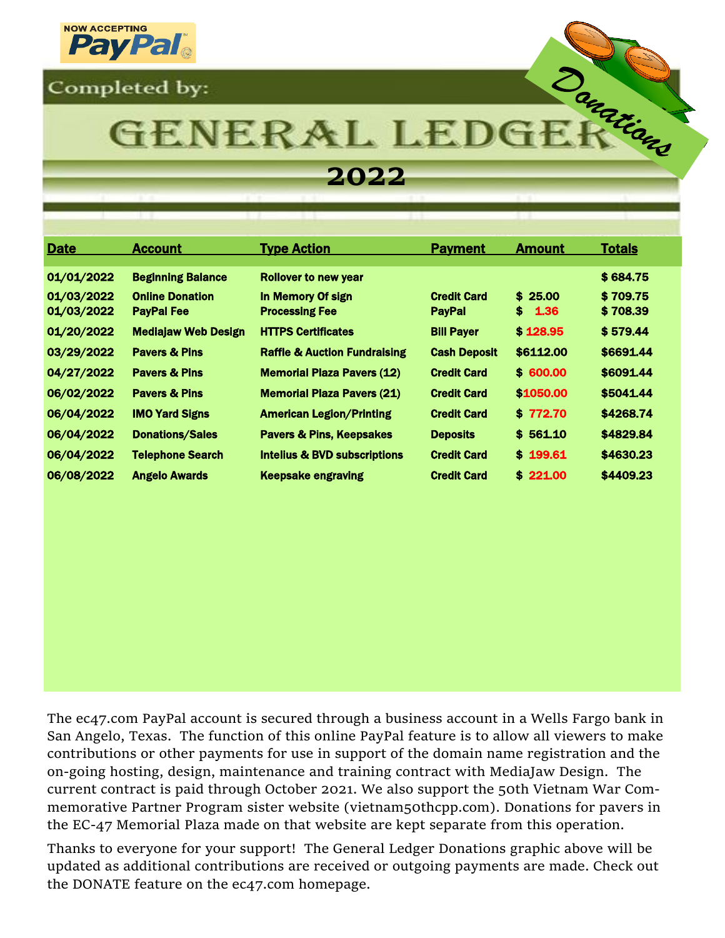



# **GENERAL LEDG**

## **2022**

| <b>Date</b>              | <b>Account</b>                              | <b>Type Action</b>                         | <b>Payment</b>                      | <b>Amount</b>      | <b>Totals</b>        |
|--------------------------|---------------------------------------------|--------------------------------------------|-------------------------------------|--------------------|----------------------|
| 01/01/2022               | <b>Beginning Balance</b>                    | <b>Rollover to new year</b>                |                                     |                    | \$684.75             |
| 01/03/2022<br>01/03/2022 | <b>Online Donation</b><br><b>PayPal Fee</b> | In Memory Of sign<br><b>Processing Fee</b> | <b>Credit Card</b><br><b>PayPal</b> | \$25.00<br>\$ 1.36 | \$709.75<br>\$708.39 |
| 01/20/2022               | <b>Mediajaw Web Design</b>                  | <b>HTTPS Certificates</b>                  | <b>Bill Payer</b>                   | \$128.95           | \$579.44             |
| 03/29/2022               | <b>Pavers &amp; Pins</b>                    | <b>Raffle &amp; Auction Fundraising</b>    | <b>Cash Deposit</b>                 | \$6112.00          | \$6691.44            |
| 04/27/2022               | <b>Pavers &amp; Pins</b>                    | <b>Memorial Plaza Pavers (12)</b>          | <b>Credit Card</b>                  | \$600.00           | \$6091.44            |
| 06/02/2022               | <b>Pavers &amp; Pins</b>                    | <b>Memorial Plaza Pavers (21)</b>          | <b>Credit Card</b>                  | \$1050.00          | \$5041.44            |
| 06/04/2022               | <b>IMO Yard Signs</b>                       | <b>American Legion/Printing</b>            | <b>Credit Card</b>                  | \$772.70           | \$4268.74            |
| 06/04/2022               | <b>Donations/Sales</b>                      | <b>Pavers &amp; Pins, Keepsakes</b>        | <b>Deposits</b>                     | \$561.10           | \$4829.84            |
| 06/04/2022               | <b>Telephone Search</b>                     | <b>Intelius &amp; BVD subscriptions</b>    | <b>Credit Card</b>                  | \$199.61           | \$4630.23            |
| 06/08/2022               | <b>Angelo Awards</b>                        | <b>Keepsake engraving</b>                  | <b>Credit Card</b>                  | \$221.00           | \$4409.23            |

The ec47.com PayPal account is secured through a business account in a Wells Fargo bank in San Angelo, Texas. The function of this online PayPal feature is to allow all viewers to make contributions or other payments for use in support of the domain name registration and the on-going hosting, design, maintenance and training contract with MediaJaw Design. The current contract is paid through October 2021. We also support the 50th Vietnam War Commemorative Partner Program sister website (vietnam50thcpp.com). Donations for pavers in the EC-47 Memorial Plaza made on that website are kept separate from this operation.

Thanks to everyone for your support! The General Ledger Donations graphic above will be updated as additional contributions are received or outgoing payments are made. Check out the DONATE feature on the ec47.com homepage.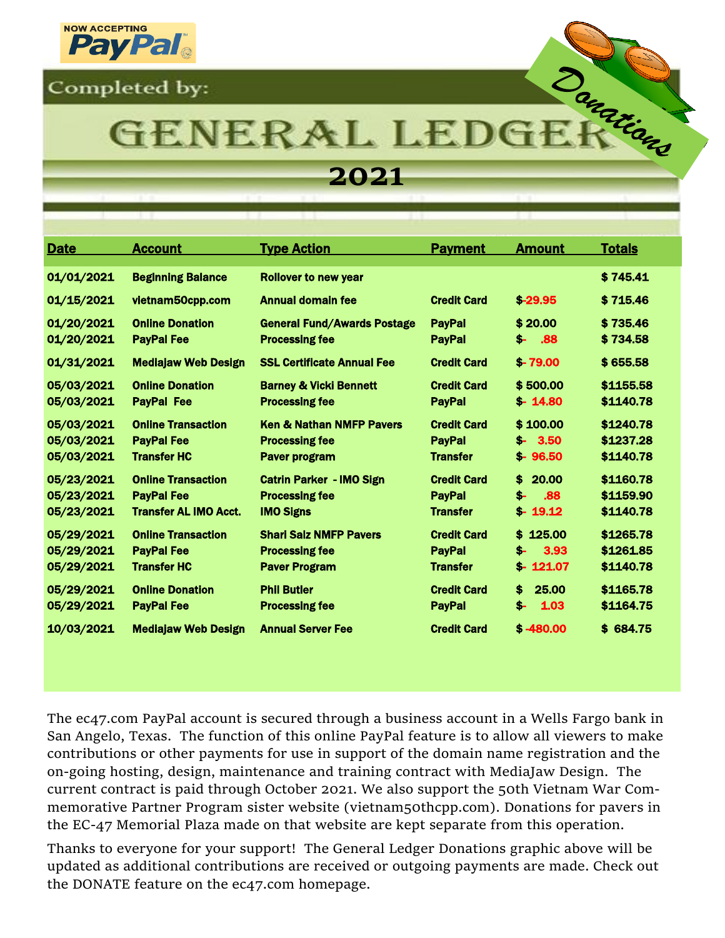



## **GENERAL LEDG**

## **2021**

| <b>Date</b>                            | <b>Account</b>                                                                 | <b>Type Action</b>                                                             | <b>Payment</b>                                         | <b>Amount</b>                              | <b>Totals</b>                       |
|----------------------------------------|--------------------------------------------------------------------------------|--------------------------------------------------------------------------------|--------------------------------------------------------|--------------------------------------------|-------------------------------------|
| 01/01/2021                             | <b>Beginning Balance</b>                                                       | <b>Rollover to new year</b>                                                    |                                                        |                                            | \$745.41                            |
| 01/15/2021                             | vietnam50cpp.com                                                               | Annual domain fee                                                              | <b>Credit Card</b>                                     | $$-29.95$                                  | \$715.46                            |
| 01/20/2021<br>01/20/2021               | <b>Online Donation</b><br><b>PayPal Fee</b>                                    | <b>General Fund/Awards Postage</b><br><b>Processing fee</b>                    | <b>PayPal</b><br><b>PayPal</b>                         | \$20.00<br>.88<br>\$-                      | \$735.46<br>\$734.58                |
| 01/31/2021                             | <b>Mediajaw Web Design</b>                                                     | <b>SSL Certificate Annual Fee</b>                                              | <b>Credit Card</b>                                     | $$-79.00$                                  | \$655.58                            |
| 05/03/2021<br>05/03/2021               | <b>Online Donation</b><br><b>PayPal Fee</b>                                    | <b>Barney &amp; Vicki Bennett</b><br><b>Processing fee</b>                     | <b>Credit Card</b><br><b>PayPal</b>                    | \$500.00<br>$$-14.80$                      | \$1155.58<br>\$1140.78              |
| 05/03/2021<br>05/03/2021<br>05/03/2021 | <b>Online Transaction</b><br><b>PayPal Fee</b><br><b>Transfer HC</b>           | <b>Ken &amp; Nathan NMFP Pavers</b><br><b>Processing fee</b><br>Paver program  | <b>Credit Card</b><br><b>PayPal</b><br><b>Transfer</b> | \$100.00<br>$$-.3.50$<br>$$-96.50$         | \$1240.78<br>\$1237.28<br>\$1140.78 |
| 05/23/2021<br>05/23/2021<br>05/23/2021 | <b>Online Transaction</b><br><b>PayPal Fee</b><br><b>Transfer AL IMO Acct.</b> | <b>Catrin Parker - IMO Sign</b><br><b>Processing fee</b><br><b>IMO Signs</b>   | <b>Credit Card</b><br><b>PayPal</b><br><b>Transfer</b> | 20.00<br>\$<br>.88<br>\$-<br>$$-19.12$     | \$1160.78<br>\$1159.90<br>\$1140.78 |
| 05/29/2021<br>05/29/2021<br>05/29/2021 | <b>Online Transaction</b><br><b>PayPal Fee</b><br><b>Transfer HC</b>           | <b>Shari Salz NMFP Pavers</b><br><b>Processing fee</b><br><b>Paver Program</b> | <b>Credit Card</b><br><b>PayPal</b><br><b>Transfer</b> | 125.00<br>\$.<br>3.93<br>\$-<br>$$-121.07$ | \$1265.78<br>\$1261.85<br>\$1140.78 |
| 05/29/2021<br>05/29/2021               | <b>Online Donation</b><br><b>PayPal Fee</b>                                    | <b>Phil Butler</b><br><b>Processing fee</b>                                    | <b>Credit Card</b><br><b>PayPal</b>                    | 25.00<br>\$.<br>\$-<br>1.03                | \$1165.78<br>\$1164.75              |
| 10/03/2021                             | <b>Mediajaw Web Design</b>                                                     | <b>Annual Server Fee</b>                                                       | <b>Credit Card</b>                                     | $$ -480.00$                                | \$684.75                            |

The ec47.com PayPal account is secured through a business account in a Wells Fargo bank in San Angelo, Texas. The function of this online PayPal feature is to allow all viewers to make contributions or other payments for use in support of the domain name registration and the on-going hosting, design, maintenance and training contract with MediaJaw Design. The current contract is paid through October 2021. We also support the 50th Vietnam War Commemorative Partner Program sister website (vietnam50thcpp.com). Donations for pavers in the EC-47 Memorial Plaza made on that website are kept separate from this operation.

Thanks to everyone for your support! The General Ledger Donations graphic above will be updated as additional contributions are received or outgoing payments are made. Check out the DONATE feature on the ec47.com homepage.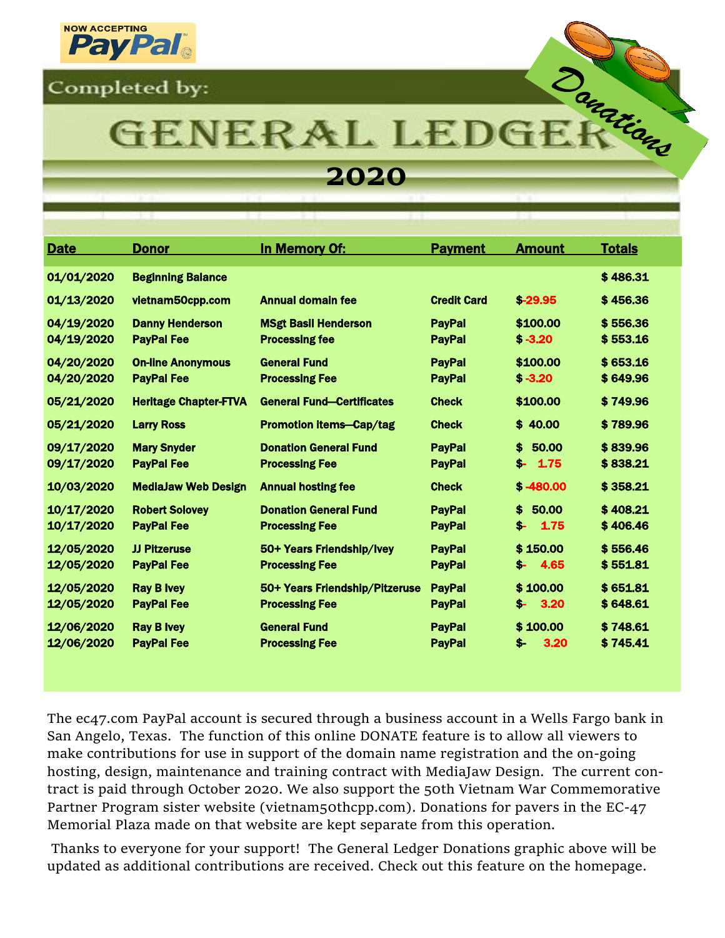



## **GENERAL LEDG**

### **2020**

| <b>Date</b>              | <b>Donor</b>                                  | In Memory Of:                                           | <b>Payment</b>                 | <b>Amount</b>               | <b>Totals</b>        |
|--------------------------|-----------------------------------------------|---------------------------------------------------------|--------------------------------|-----------------------------|----------------------|
| 01/01/2020               | <b>Beginning Balance</b>                      |                                                         |                                |                             | \$486.31             |
| 01/13/2020               | vietnam50cpp.com                              | <b>Annual domain fee</b>                                | <b>Credit Card</b>             | $$-29.95$                   | \$456.36             |
| 04/19/2020<br>04/19/2020 | <b>Danny Henderson</b><br><b>PayPal Fee</b>   | <b>MSgt Basil Henderson</b><br><b>Processing fee</b>    | <b>PayPal</b><br><b>PayPal</b> | \$100.00<br>$$ -3.20$       | \$556.36<br>\$553.16 |
| 04/20/2020<br>04/20/2020 | <b>On-line Anonymous</b><br><b>PayPal Fee</b> | <b>General Fund</b><br><b>Processing Fee</b>            | <b>PayPal</b><br><b>PayPal</b> | \$100.00<br>$$ -3.20$       | \$653.16<br>\$649.96 |
| 05/21/2020               | <b>Heritage Chapter-FTVA</b>                  | <b>General Fund-Certificates</b>                        | <b>Check</b>                   | \$100.00                    | \$749.96             |
| 05/21/2020               | <b>Larry Ross</b>                             | <b>Promotion items-Cap/tag</b>                          | <b>Check</b>                   | \$40,00                     | \$789.96             |
| 09/17/2020<br>09/17/2020 | <b>Mary Snyder</b><br><b>PayPal Fee</b>       | <b>Donation General Fund</b><br><b>Processing Fee</b>   | <b>PayPal</b><br><b>PavPal</b> | \$<br>50.00<br>$$-1.75$     | \$839.96<br>\$838.21 |
| 10/03/2020               | <b>MediaJaw Web Design</b>                    | <b>Annual hosting fee</b>                               | <b>Check</b>                   | $$ -480.00$                 | \$358.21             |
| 10/17/2020<br>10/17/2020 | <b>Robert Solovey</b><br><b>PayPal Fee</b>    | <b>Donation General Fund</b><br><b>Processing Fee</b>   | <b>PayPal</b><br><b>PayPal</b> | \$.<br>50.00<br>\$-<br>1.75 | \$408.21<br>\$406.46 |
| 12/05/2020<br>12/05/2020 | <b>JJ Pitzeruse</b><br><b>PayPal Fee</b>      | 50+ Years Friendship/Ivey<br><b>Processing Fee</b>      | <b>PayPal</b><br><b>PayPal</b> | \$150.00<br>4.65<br>S-      | \$556.46<br>\$551.81 |
| 12/05/2020<br>12/05/2020 | <b>Ray B Ivey</b><br><b>PayPal Fee</b>        | 50+ Years Friendship/Pitzeruse<br><b>Processing Fee</b> | <b>PayPal</b><br><b>PayPal</b> | \$100.00<br>3.20<br>\$-     | \$651.81<br>\$648.61 |
| 12/06/2020<br>12/06/2020 | <b>Ray B Ivey</b><br><b>PayPal Fee</b>        | <b>General Fund</b><br><b>Processing Fee</b>            | <b>PayPal</b><br><b>PayPal</b> | \$100.00<br>3.20<br>S-      | \$748.61<br>\$745.41 |

The ec47.com PayPal account is secured through a business account in a Wells Fargo bank in San Angelo, Texas. The function of this online DONATE feature is to allow all viewers to make contributions for use in support of the domain name registration and the on-going hosting, design, maintenance and training contract with MediaJaw Design. The current contract is paid through October 2020. We also support the 50th Vietnam War Commemorative Partner Program sister website (vietnam50thcpp.com). Donations for pavers in the EC-47 Memorial Plaza made on that website are kept separate from this operation.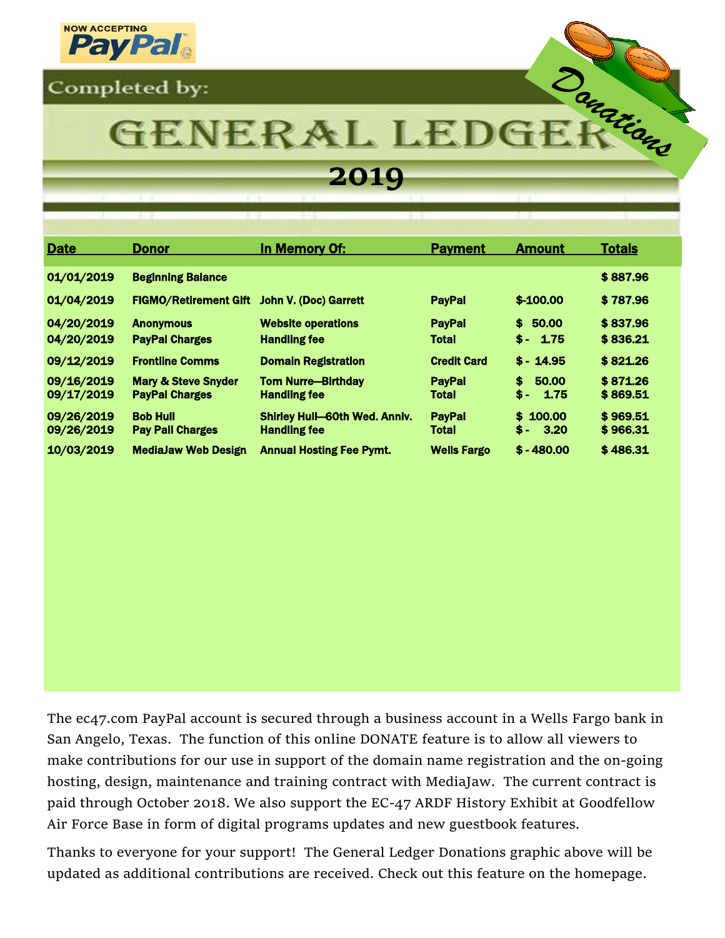



## GENERAL LEDG

## **2019**

| <b>Date</b>              | <b>Donor</b>                                            | In Memory Of:                                               | <b>Payment</b>                | <b>Amount</b>             | <b>Totals</b>        |  |
|--------------------------|---------------------------------------------------------|-------------------------------------------------------------|-------------------------------|---------------------------|----------------------|--|
| 01/01/2019               | <b>Beginning Balance</b>                                |                                                             |                               |                           | \$887.96             |  |
| 01/04/2019               | <b>FIGMO/Retirement Gift</b>                            | <b>John V. (Doc) Garrett</b>                                | <b>PayPal</b>                 | $$-100.00$                | \$787.96             |  |
| 04/20/2019<br>04/20/2019 | <b>Anonymous</b><br><b>PayPal Charges</b>               | <b>Website operations</b><br><b>Handling fee</b>            | <b>PayPal</b><br><b>Total</b> | \$50.00<br>$$ - 1.75$     | \$837.96<br>\$836.21 |  |
| 09/12/2019               | <b>Frontline Comms</b>                                  | <b>Domain Registration</b>                                  | <b>Credit Card</b>            | $$ - 14.95$               | \$821.26             |  |
| 09/16/2019<br>09/17/2019 | <b>Mary &amp; Steve Snyder</b><br><b>PayPal Charges</b> | <b>Tom Nurre-Birthday</b><br><b>Handling fee</b>            | <b>PayPal</b><br>Total        | \$.<br>50.00<br>$$-.1.75$ | \$871.26<br>\$869.51 |  |
| 09/26/2019<br>09/26/2019 | <b>Bob Hull</b><br><b>Pay Pall Charges</b>              | <b>Shirley Hull-60th Wed. Anniv.</b><br><b>Handling fee</b> | <b>PayPal</b><br><b>Total</b> | \$100.00<br>$$-.3.20$     | \$969.51<br>\$966.31 |  |
| 10/03/2019               | <b>MediaJaw Web Design</b>                              | <b>Annual Hosting Fee Pymt.</b>                             | <b>Wells Fargo</b>            | $$ -480.00$               | \$486.31             |  |

The ec47.com PayPal account is secured through a business account in a Wells Fargo bank in San Angelo, Texas. The function of this online DONATE feature is to allow all viewers to make contributions for our use in support of the domain name registration and the on-going hosting, design, maintenance and training contract with MediaJaw. The current contract is paid through October 2018. We also support the EC-47 ARDF History Exhibit at Goodfellow Air Force Base in form of digital programs updates and new guestbook features.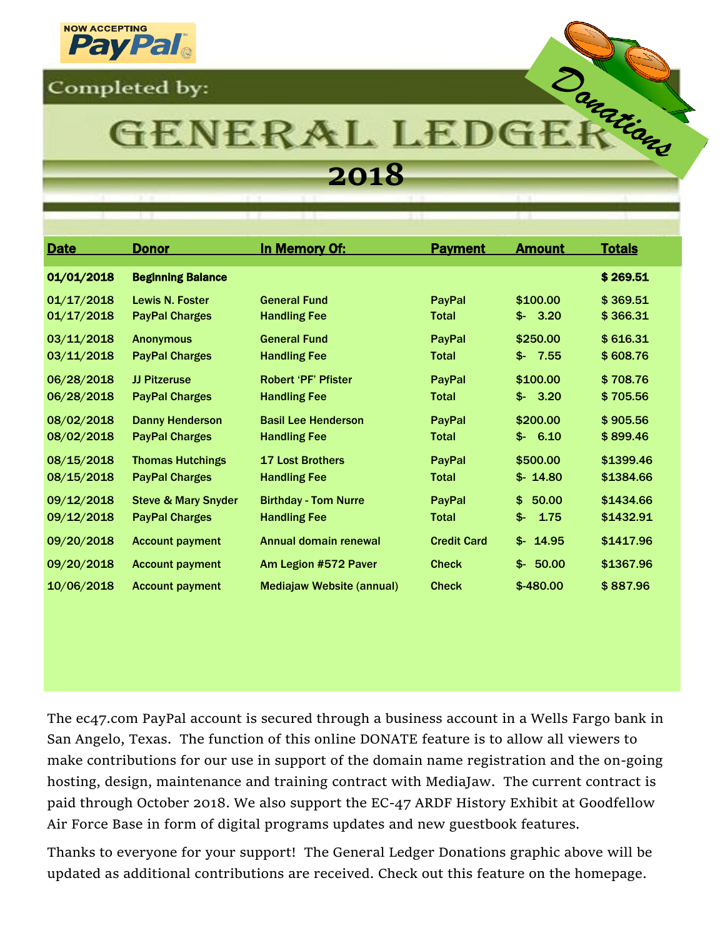



# **GENERAL LEDG**

## **2018**

| <b>Date</b> | <b>Donor</b>                   | In Memory Of:                    | <b>Payment</b>     | <b>Amount</b> | <b>Totals</b> |
|-------------|--------------------------------|----------------------------------|--------------------|---------------|---------------|
| 01/01/2018  | <b>Beginning Balance</b>       |                                  |                    |               | \$269.51      |
| 01/17/2018  | Lewis N. Foster                | <b>General Fund</b>              | <b>PayPal</b>      | \$100.00      | \$369.51      |
| 01/17/2018  | <b>PayPal Charges</b>          | <b>Handling Fee</b>              | <b>Total</b>       | 3.20<br>\$-   | \$366.31      |
| 03/11/2018  | <b>Anonymous</b>               | <b>General Fund</b>              | PayPal             | \$250.00      | \$616.31      |
| 03/11/2018  | <b>PayPal Charges</b>          | <b>Handling Fee</b>              | <b>Total</b>       | 7.55<br>\$-   | \$608.76      |
| 06/28/2018  | <b>JJ Pitzeruse</b>            | <b>Robert 'PF' Pfister</b>       | PayPal             | \$100.00      | \$708.76      |
| 06/28/2018  | <b>PayPal Charges</b>          | <b>Handling Fee</b>              | <b>Total</b>       | 3.20<br>\$-   | \$705.56      |
| 08/02/2018  | <b>Danny Henderson</b>         | <b>Basil Lee Henderson</b>       | PayPal             | \$200.00      | \$905.56      |
| 08/02/2018  | <b>PayPal Charges</b>          | <b>Handling Fee</b>              | <b>Total</b>       | 6.10<br>\$-   | \$899.46      |
| 08/15/2018  | <b>Thomas Hutchings</b>        | <b>17 Lost Brothers</b>          | PayPal             | \$500.00      | \$1399.46     |
| 08/15/2018  | <b>PayPal Charges</b>          | <b>Handling Fee</b>              | <b>Total</b>       | $$- 14.80$    | \$1384.66     |
| 09/12/2018  | <b>Steve &amp; Mary Snyder</b> | <b>Birthday - Tom Nurre</b>      | PayPal             | 50.00<br>\$.  | \$1434.66     |
| 09/12/2018  | <b>PayPal Charges</b>          | <b>Handling Fee</b>              | <b>Total</b>       | \$-<br>1.75   | \$1432.91     |
| 09/20/2018  | <b>Account payment</b>         | Annual domain renewal            | <b>Credit Card</b> | 14.95<br>\$∹  | \$1417.96     |
| 09/20/2018  | <b>Account payment</b>         | Am Legion #572 Paver             | <b>Check</b>       | 50.00<br>\$-∴ | \$1367.96     |
| 10/06/2018  | <b>Account payment</b>         | <b>Mediajaw Website (annual)</b> | <b>Check</b>       | \$-480.00     | \$887.96      |

The ec47.com PayPal account is secured through a business account in a Wells Fargo bank in San Angelo, Texas. The function of this online DONATE feature is to allow all viewers to make contributions for our use in support of the domain name registration and the on-going hosting, design, maintenance and training contract with MediaJaw. The current contract is paid through October 2018. We also support the EC-47 ARDF History Exhibit at Goodfellow Air Force Base in form of digital programs updates and new guestbook features.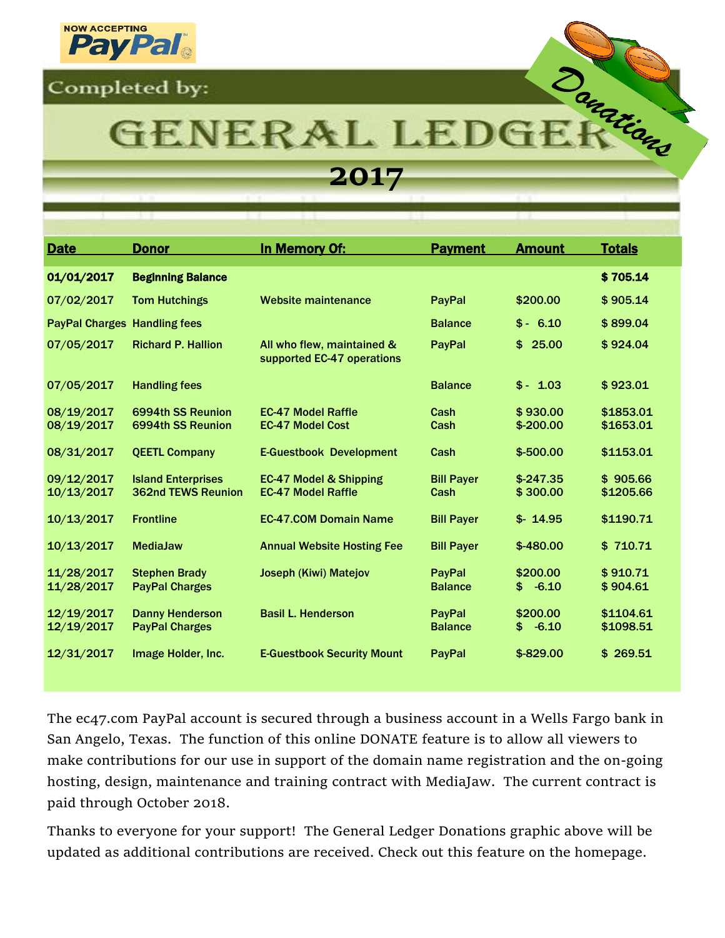

# Danarians **GENERAL LEDG**

**2017**

| <b>Date</b>                         | <b>Donor</b>                                           | In Memory Of:                                                  | <b>Payment</b>            | <b>Amount</b>             | <b>Totals</b>          |
|-------------------------------------|--------------------------------------------------------|----------------------------------------------------------------|---------------------------|---------------------------|------------------------|
| 01/01/2017                          | <b>Beginning Balance</b>                               |                                                                |                           |                           | \$705.14               |
| 07/02/2017                          | <b>Tom Hutchings</b>                                   | Website maintenance                                            | <b>PayPal</b>             | \$200.00                  | \$905.14               |
| <b>PayPal Charges Handling fees</b> |                                                        |                                                                | <b>Balance</b>            | $$ - 6.10$                | \$899.04               |
| 07/05/2017                          | <b>Richard P. Hallion</b>                              | All who flew, maintained &<br>supported EC-47 operations       | PayPal                    | 25.00<br>\$               | \$924.04               |
| 07/05/2017                          | <b>Handling fees</b>                                   |                                                                | <b>Balance</b>            | $$ - 1.03$                | \$923.01               |
| 08/19/2017<br>08/19/2017            | 6994th SS Reunion<br>6994th SS Reunion                 | <b>EC-47 Model Raffle</b><br><b>EC-47 Model Cost</b>           | Cash<br>Cash              | \$930.00<br>$$-200.00$    | \$1853.01<br>\$1653.01 |
| 08/31/2017                          | <b>QEETL Company</b>                                   | <b>E-Guestbook Development</b>                                 | Cash                      | $$ -500.00$               | \$1153.01              |
| 09/12/2017<br>10/13/2017            | <b>Island Enterprises</b><br><b>362nd TEWS Reunion</b> | <b>EC-47 Model &amp; Shipping</b><br><b>EC-47 Model Raffle</b> | <b>Bill Payer</b><br>Cash | $$-247.35$<br>\$300.00    | \$905.66<br>\$1205.66  |
| 10/13/2017                          | <b>Frontline</b>                                       | <b>EC-47.COM Domain Name</b>                                   | <b>Bill Payer</b>         | $$-14.95$                 | \$1190.71              |
| 10/13/2017                          | <b>MediaJaw</b>                                        | <b>Annual Website Hosting Fee</b>                              | <b>Bill Payer</b>         | $$-480.00$                | \$710.71               |
| 11/28/2017<br>11/28/2017            | <b>Stephen Brady</b><br><b>PayPal Charges</b>          | <b>Joseph (Kiwi) Matejov</b>                                   | PayPal<br><b>Balance</b>  | \$200.00<br>$-6.10$<br>\$ | \$910.71<br>\$904.61   |
| 12/19/2017<br>12/19/2017            | <b>Danny Henderson</b><br><b>PayPal Charges</b>        | <b>Basil L. Henderson</b>                                      | PayPal<br><b>Balance</b>  | \$200.00<br>$-6.10$<br>\$ | \$1104.61<br>\$1098.51 |
| 12/31/2017                          | Image Holder, Inc.                                     | <b>E-Guestbook Security Mount</b>                              | PayPal                    | $$-829.00$                | \$269.51               |

The ec47.com PayPal account is secured through a business account in a Wells Fargo bank in San Angelo, Texas. The function of this online DONATE feature is to allow all viewers to make contributions for our use in support of the domain name registration and the on-going hosting, design, maintenance and training contract with MediaJaw. The current contract is paid through October 2018.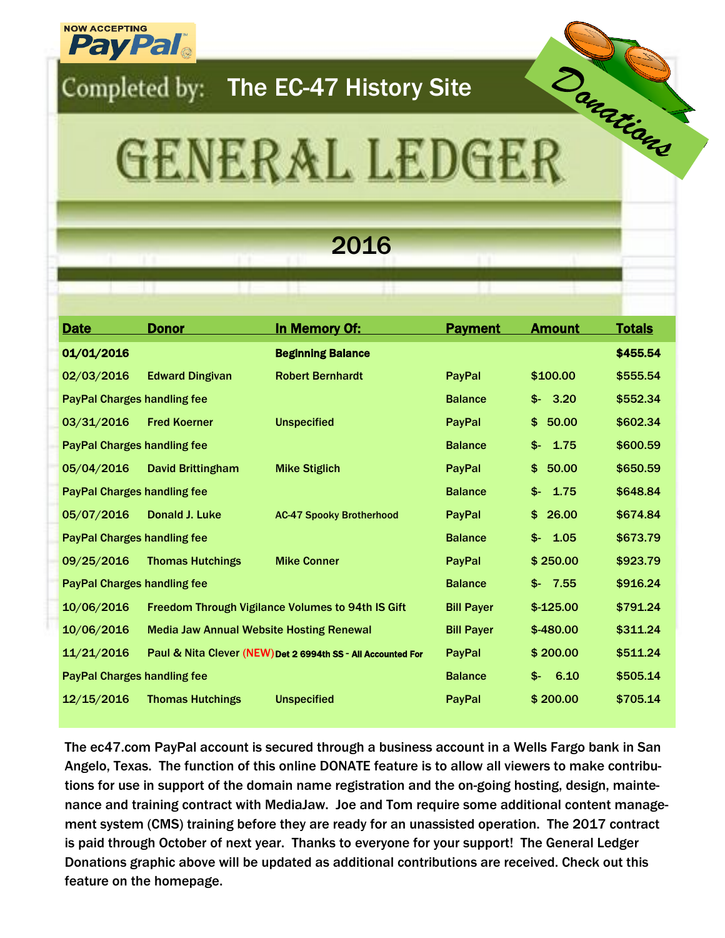

## Completed by: The EC-47 History Site

# Danatiand GENERAL LEDGER

## 2016

| <b>Date</b>                        | <b>Donor</b>                                    | <b>In Memory Of:</b>                                         | <b>Payment</b>    | <b>Amount</b> | <b>Totals</b> |
|------------------------------------|-------------------------------------------------|--------------------------------------------------------------|-------------------|---------------|---------------|
| 01/01/2016                         |                                                 | <b>Beginning Balance</b>                                     |                   |               | \$455.54      |
| 02/03/2016                         | <b>Edward Dingivan</b>                          | <b>Robert Bernhardt</b>                                      | PayPal            | \$100.00      | \$555.54      |
| <b>PayPal Charges handling fee</b> |                                                 |                                                              | <b>Balance</b>    | 3.20<br>\$-   | \$552.34      |
| 03/31/2016                         | <b>Fred Koerner</b>                             | <b>Unspecified</b>                                           | PayPal            | \$<br>50.00   | \$602.34      |
| <b>PayPal Charges handling fee</b> |                                                 |                                                              | <b>Balance</b>    | 1.75<br>\$-   | \$600.59      |
| 05/04/2016                         | <b>David Brittingham</b>                        | <b>Mike Stiglich</b>                                         | <b>PayPal</b>     | \$50.00       | \$650.59      |
| <b>PayPal Charges handling fee</b> |                                                 |                                                              | <b>Balance</b>    | $$-$<br>1.75  | \$648.84      |
| 05/07/2016                         | Donald J. Luke                                  | <b>AC-47 Spooky Brotherhood</b>                              | <b>PayPal</b>     | \$26.00       | \$674.84      |
| <b>PayPal Charges handling fee</b> |                                                 |                                                              | <b>Balance</b>    | 1.05<br>\$-   | \$673.79      |
| 09/25/2016                         | <b>Thomas Hutchings</b>                         | <b>Mike Conner</b>                                           | PayPal            | \$250.00      | \$923.79      |
| <b>PayPal Charges handling fee</b> |                                                 |                                                              | <b>Balance</b>    | 7.55<br>\$-   | \$916.24      |
| 10/06/2016                         |                                                 | <b>Freedom Through Vigilance Volumes to 94th IS Gift</b>     | <b>Bill Payer</b> | $$-125.00$    | \$791.24      |
| 10/06/2016                         | <b>Media Jaw Annual Website Hosting Renewal</b> |                                                              | <b>Bill Payer</b> | $$-480.00$    | \$311.24      |
| 11/21/2016                         |                                                 | Paul & Nita Clever (NEW) Det 2 6994th SS - All Accounted For | PayPal            | \$200.00      | \$511.24      |
| <b>PayPal Charges handling fee</b> |                                                 |                                                              | <b>Balance</b>    | 6.10<br>\$-   | \$505.14      |
| 12/15/2016                         | <b>Thomas Hutchings</b>                         | <b>Unspecified</b>                                           | PayPal            | \$200.00      | \$705.14      |
|                                    |                                                 |                                                              |                   |               |               |

The ec47.com PayPal account is secured through a business account in a Wells Fargo bank in San Angelo, Texas. The function of this online DONATE feature is to allow all viewers to make contributions for use in support of the domain name registration and the on-going hosting, design, maintenance and training contract with MediaJaw. Joe and Tom require some additional content management system (CMS) training before they are ready for an unassisted operation. The 2017 contract is paid through October of next year. Thanks to everyone for your support! The General Ledger Donations graphic above will be updated as additional contributions are received. Check out this feature on the homepage.